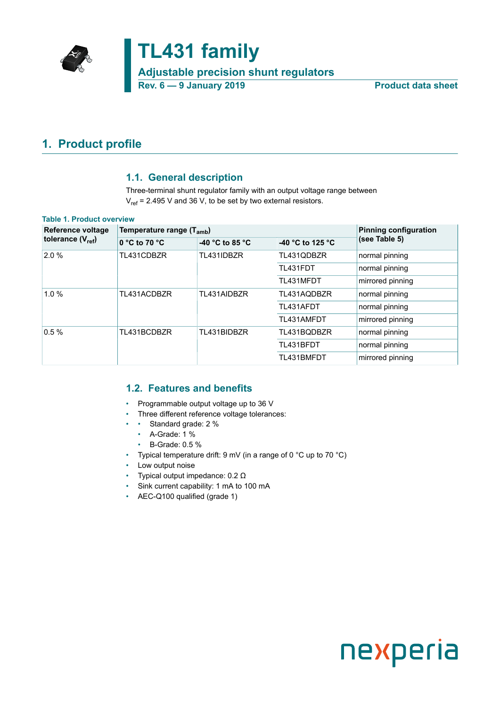

# **TL431 family**

**Adjustable precision shunt regulators**

**Rev. 6 — 9 January 2019 Product data sheet**

### <span id="page-0-0"></span>**1. Product profile**

#### <span id="page-0-1"></span>**1.1. General description**

Three-terminal shunt regulator family with an output voltage range between  $V_{ref}$  = 2.495 V and 36 V, to be set by two external resistors.

| <b>Table 1. Product overview</b> |                                       |                                     |                                      |                              |  |  |
|----------------------------------|---------------------------------------|-------------------------------------|--------------------------------------|------------------------------|--|--|
| <b>Reference voltage</b>         | Temperature range (T <sub>amb</sub> ) |                                     |                                      | <b>Pinning configuration</b> |  |  |
| tolerance $(V_{ref})$            | $0 °C$ to 70 $°C$                     | -40 $^{\circ}$ C to 85 $^{\circ}$ C | -40 $^{\circ}$ C to 125 $^{\circ}$ C | (see Table 5)                |  |  |
| 2.0 %                            | TL431CDBZR                            | TL431IDBZR                          | TL431QDBZR                           | normal pinning               |  |  |
|                                  |                                       |                                     | TL431FDT                             | normal pinning               |  |  |
|                                  |                                       |                                     | TL431MFDT                            | mirrored pinning             |  |  |
| 1.0%                             | TL431ACDBZR                           | TL431AIDBZR                         | TL431AQDBZR                          | normal pinning               |  |  |
|                                  |                                       |                                     | TL431AFDT                            | normal pinning               |  |  |
|                                  |                                       |                                     | TL431AMFDT                           | mirrored pinning             |  |  |
| 0.5%                             | TL431BCDBZR                           | TL431BIDBZR                         | TL431BQDBZR                          | normal pinning               |  |  |
|                                  |                                       |                                     | TL431BFDT                            | normal pinning               |  |  |
|                                  |                                       |                                     | TL431BMFDT                           | mirrored pinning             |  |  |

### <span id="page-0-2"></span>**1.2. Features and benefits**

- Programmable output voltage up to 36 V
- Three different reference voltage tolerances:
- • Standard grade: 2 %
	- A-Grade: 1 %
	- B-Grade: 0.5 %
- Typical temperature drift:  $9 \text{ mV}$  (in a range of 0 °C up to 70 °C)
- Low output noise
- Typical output impedance: 0.2 Ω
- Sink current capability: 1 mA to 100 mA
- AEC-Q100 qualified (grade 1)

# nexperia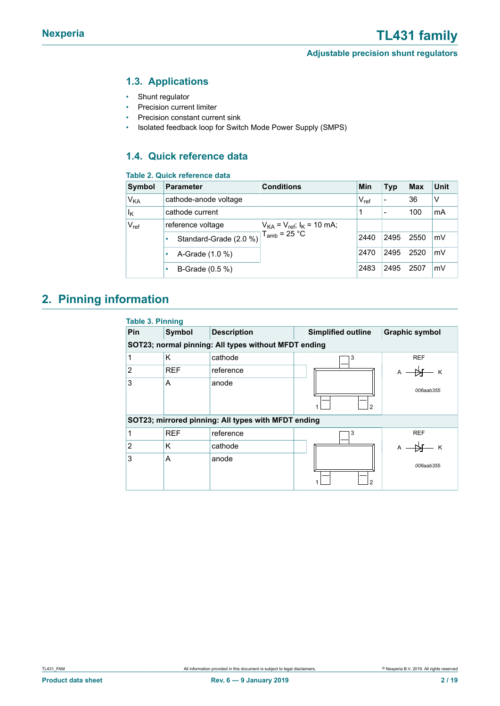### <span id="page-1-0"></span>**1.3. Applications**

- Shunt regulator
- Precision current limiter
- Precision constant current sink
- Isolated feedback loop for Switch Mode Power Supply (SMPS)

#### <span id="page-1-1"></span>**1.4. Quick reference data**

#### **Table 2. Quick reference data**

| Symbol                | <b>Parameter</b>            | <b>Conditions</b>                     | Min       | <b>Typ</b>               | <b>Max</b> | <b>Unit</b> |
|-----------------------|-----------------------------|---------------------------------------|-----------|--------------------------|------------|-------------|
| <b>V<sub>KA</sub></b> | cathode-anode voltage       |                                       | $V_{ref}$ | $\overline{\phantom{0}}$ | 36         | ν           |
| Ιĸ                    | cathode current             |                                       | 1         | $\overline{\phantom{0}}$ | 100        | mA          |
| $V_{ref}$             | reference voltage           | $V_{KA} = V_{ref}$ ; $I_{K} = 10$ mA; |           |                          |            |             |
|                       | Standard-Grade (2.0 %)<br>٠ | $T_{amb}$ = 25 °C                     | 2440      | 2495                     | 2550       | mV          |
|                       | A-Grade (1.0 %)<br>٠        |                                       | 2470      | 2495                     | 2520       | mV          |
|                       | B-Grade (0.5 %)<br>٠        |                                       | 2483      | 2495                     | 2507       | mV          |

# <span id="page-1-2"></span>**2. Pinning information**

| <b>Table 3. Pinning</b> |                                                      |                                                     |                           |                       |  |  |  |  |
|-------------------------|------------------------------------------------------|-----------------------------------------------------|---------------------------|-----------------------|--|--|--|--|
| <b>Pin</b>              | Symbol                                               | <b>Description</b>                                  | <b>Simplified outline</b> | <b>Graphic symbol</b> |  |  |  |  |
|                         | SOT23; normal pinning: All types without MFDT ending |                                                     |                           |                       |  |  |  |  |
| 1                       | Κ                                                    | cathode                                             | 3                         | <b>REF</b>            |  |  |  |  |
| 2                       | <b>REF</b>                                           | reference                                           |                           | K<br>A                |  |  |  |  |
| 3                       | A                                                    | anode                                               | っ                         | 006aab355             |  |  |  |  |
|                         |                                                      | SOT23; mirrored pinning: All types with MFDT ending |                           |                       |  |  |  |  |
| 1                       | <b>REF</b>                                           | reference                                           | 3                         | <b>REF</b>            |  |  |  |  |
| 2                       | K                                                    | cathode                                             |                           | Κ<br>A                |  |  |  |  |
| 3                       | A                                                    | anode                                               | っ                         | 006aab355             |  |  |  |  |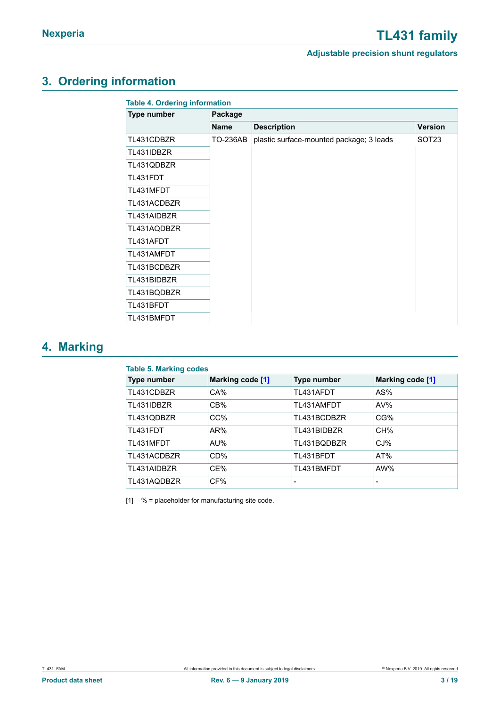# <span id="page-2-1"></span>**3. Ordering information**

<span id="page-2-0"></span>

| <b>Type number</b> | Package         |                                          |                   |  |  |  |  |
|--------------------|-----------------|------------------------------------------|-------------------|--|--|--|--|
|                    | <b>Name</b>     | <b>Description</b>                       | <b>Version</b>    |  |  |  |  |
| TL431CDBZR         | <b>TO-236AB</b> | plastic surface-mounted package; 3 leads | SOT <sub>23</sub> |  |  |  |  |
| TL431IDBZR         |                 |                                          |                   |  |  |  |  |
| TL431QDBZR         |                 |                                          |                   |  |  |  |  |
| TL431FDT           |                 |                                          |                   |  |  |  |  |
| TL431MFDT          |                 |                                          |                   |  |  |  |  |
| TL431ACDBZR        |                 |                                          |                   |  |  |  |  |
| TL431AIDBZR        |                 |                                          |                   |  |  |  |  |
| TL431AQDBZR        |                 |                                          |                   |  |  |  |  |
| TL431AFDT          |                 |                                          |                   |  |  |  |  |
| TL431AMFDT         |                 |                                          |                   |  |  |  |  |
| TL431BCDBZR        |                 |                                          |                   |  |  |  |  |
| TL431BIDBZR        |                 |                                          |                   |  |  |  |  |
| TL431BQDBZR        |                 |                                          |                   |  |  |  |  |
| TL431BFDT          |                 |                                          |                   |  |  |  |  |
| TL431BMFDT         |                 |                                          |                   |  |  |  |  |

# <span id="page-2-2"></span>**4. Marking**

| <b>Table 5. Marking codes</b> |                  |                    |                          |  |  |  |
|-------------------------------|------------------|--------------------|--------------------------|--|--|--|
| <b>Type number</b>            | Marking code [1] | <b>Type number</b> | Marking code [1]         |  |  |  |
| TL431CDBZR                    | CA%              | TL431AFDT          | AS%                      |  |  |  |
| TL431IDBZR                    | CB%              | TL431AMFDT         | AV%                      |  |  |  |
| TL431QDBZR                    | CC%              | TL431BCDBZR        | CG%                      |  |  |  |
| TL431FDT                      | AR%              | TL431BIDBZR        | CH%                      |  |  |  |
| TL431MFDT                     | $AU$ %           | TL431BQDBZR        | CJ%                      |  |  |  |
| TL431ACDBZR                   | $CD\%$           | TL431BFDT          | AT%                      |  |  |  |
| TL431AIDBZR                   | CE%              | TL431BMFDT         | AW%                      |  |  |  |
| TL431AQDBZR                   | CF%              | -                  | $\overline{\phantom{0}}$ |  |  |  |

[1] % = placeholder for manufacturing site code.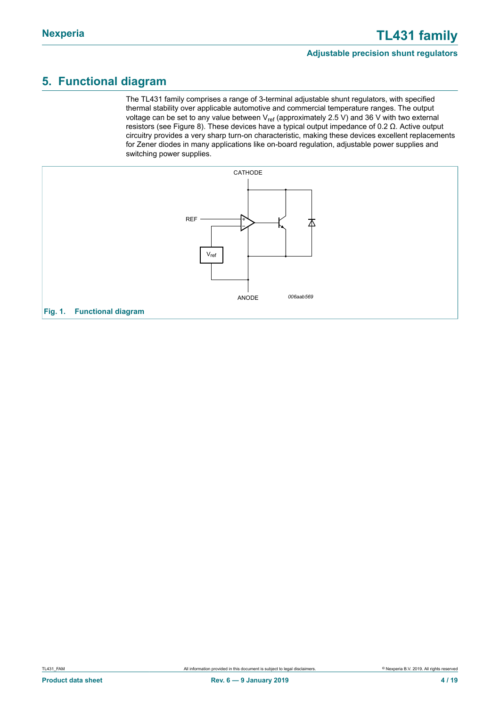### <span id="page-3-0"></span>**5. Functional diagram**

The TL431 family comprises a range of 3-terminal adjustable shunt regulators, with specified thermal stability over applicable automotive and commercial temperature ranges. The output voltage can be set to any value between  $V_{ref}$  (approximately 2.5 V) and 36 V with two external resistors (see Figure 8). These devices have a typical output impedance of 0.2 Ω. Active output circuitry provides a very sharp turn-on characteristic, making these devices excellent replacements for Zener diodes in many applications like on-board regulation, adjustable power supplies and switching power supplies.

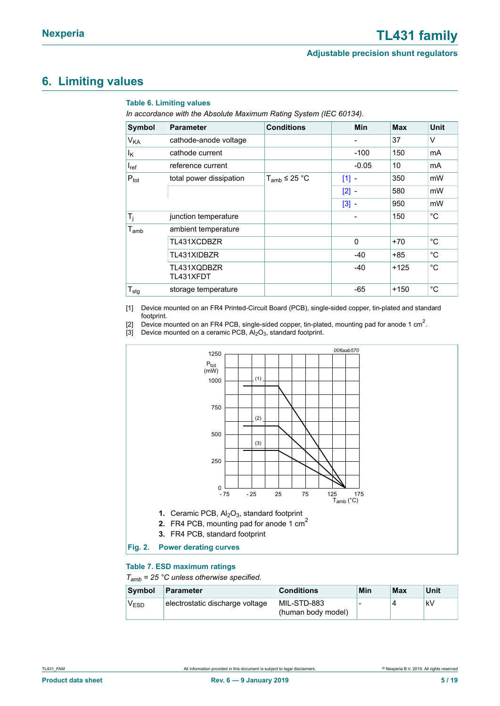### <span id="page-4-1"></span>**6. Limiting values**

#### <span id="page-4-0"></span>**Table 6. Limiting values**

*In accordance with the Absolute Maximum Rating System (IEC 60134).*

| <b>Symbol</b>         | <b>Parameter</b>         | <b>Conditions</b> |       | Min     | <b>Max</b> | Unit        |
|-----------------------|--------------------------|-------------------|-------|---------|------------|-------------|
| <b>V<sub>KA</sub></b> | cathode-anode voltage    |                   |       |         | 37         | V           |
| Ιĸ                    | cathode current          |                   |       | $-100$  | 150        | mA          |
| $I_{ref}$             | reference current        |                   |       | $-0.05$ | 10         | mA          |
| $P_{\text{tot}}$      | total power dissipation  | $T_{amb}$ ≤ 25 °C | $[1]$ |         | 350        | mW          |
|                       |                          |                   | [2]   |         | 580        | mW          |
|                       |                          |                   | [3]   |         | 950        | mW          |
| T <sub>j</sub>        | junction temperature     |                   |       |         | 150        | °C          |
| $T_{\mathsf{amb}}$    | ambient temperature      |                   |       |         |            |             |
|                       | TL431XCDBZR              |                   |       | 0       | $+70$      | °C          |
|                       | TL431XIDBZR              |                   |       | $-40$   | $+85$      | $^{\circ}C$ |
|                       | TL431XQDBZR<br>TL431XFDT |                   |       | $-40$   | $+125$     | $^{\circ}C$ |
| $T_{\text{stg}}$      | storage temperature      |                   |       | -65     | +150       | °C          |

[1] Device mounted on an FR4 Printed-Circuit Board (PCB), single-sided copper, tin-plated and standard footprint.

[2] Device mounted on an FR4 PCB, single-sided copper, tin-plated, mounting pad for anode 1 cm<sup>2</sup>.

 $[3]$  Device mounted on a ceramic PCB,  $\overline{Al}_2O_3$ , standard footprint.



#### **Table 7. ESD maximum ratings**

*Tamb = 25 °C unless otherwise specified.*

| <b>Symbol</b> | <b>Parameter</b>                | <b>Conditions</b>                 | Min | Max | Unit |
|---------------|---------------------------------|-----------------------------------|-----|-----|------|
| <b>VESD</b>   | electrostatic discharge voltage | MIL-STD-883<br>(human body model) |     |     | kV   |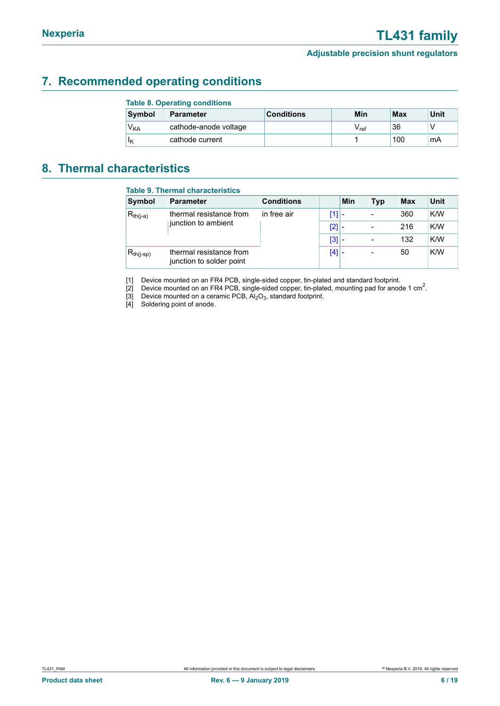### <span id="page-5-1"></span>**7. Recommended operating conditions**

<span id="page-5-0"></span>

| <b>Symbol</b>   | <b>Parameter</b>      | <b>Conditions</b> | Min       | <b>Max</b> | Unit |
|-----------------|-----------------------|-------------------|-----------|------------|------|
| Ѵ <sub>ҜА</sub> | cathode-anode voltage |                   | $V_{ref}$ | 36         |      |
| Ιĸ              | cathode current       |                   |           | 100        | mA   |

### <span id="page-5-2"></span>**8. Thermal characteristics**

| Symbol         | <b>Parameter</b>                                    | <b>Conditions</b> |         | Min | <b>Typ</b>               | Max | Unit |
|----------------|-----------------------------------------------------|-------------------|---------|-----|--------------------------|-----|------|
| $R_{th(j-a)}$  | thermal resistance from<br>junction to ambient      | in free air       | $[1]$ - |     |                          | 360 | K/W  |
|                |                                                     |                   | [2]     |     |                          | 216 | K/W  |
|                |                                                     |                   | $[3]$ - |     | $\overline{\phantom{0}}$ | 132 | K/W  |
| $R_{th(j-sp)}$ | thermal resistance from<br>junction to solder point |                   | [4]     |     | $\overline{\phantom{0}}$ | 50  | K/W  |

[1] Device mounted on an FR4 PCB, single-sided copper, tin-plated and standard footprint.

[2] Device mounted on an FR4 PCB, single-sided copper, tin-plated, mounting pad for anode 1 cm<sup>2</sup>.

[3] Device mounted on a ceramic PCB,  $Al_2O_3$ , standard footprint.

[4] Soldering point of anode.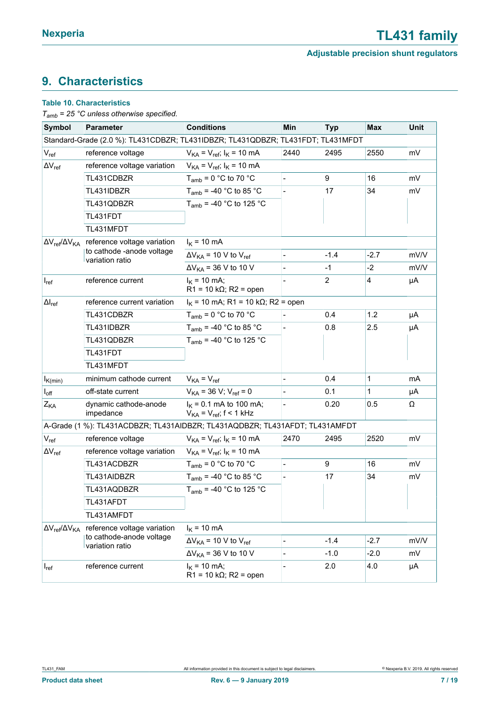### <span id="page-6-0"></span>**9. Characteristics**

#### **Table 10. Characteristics**

*Tamb = 25 °C unless otherwise specified.*

| <b>Symbol</b>                  | <b>Parameter</b>                                                                | <b>Conditions</b>                                             | Min                      | <b>Typ</b>     | <b>Max</b> | <b>Unit</b> |  |
|--------------------------------|---------------------------------------------------------------------------------|---------------------------------------------------------------|--------------------------|----------------|------------|-------------|--|
|                                | Standard-Grade (2.0 %): TL431CDBZR; TL431IDBZR; TL431QDBZR; TL431FDT; TL431MFDT |                                                               |                          |                |            |             |  |
| $V_{ref}$                      | reference voltage                                                               | $V_{KA} = V_{ref}$ ; $I_{K} = 10$ mA                          | 2440                     | 2495           | 2550       | mV          |  |
| $\Delta V_{ref}$               | reference voltage variation                                                     | $V_{KA} = V_{ref}$ ; $I_K = 10$ mA                            |                          |                |            |             |  |
|                                | TL431CDBZR                                                                      | $T_{amb}$ = 0 °C to 70 °C                                     |                          | 9              | 16         | mV          |  |
|                                | TL431IDBZR                                                                      | $T_{amb}$ = -40 °C to 85 °C                                   |                          | 17             | 34         | mV          |  |
|                                | TL431QDBZR                                                                      | $T_{amb}$ = -40 °C to 125 °C                                  |                          |                |            |             |  |
|                                | TL431FDT                                                                        |                                                               |                          |                |            |             |  |
|                                | TL431MFDT                                                                       |                                                               |                          |                |            |             |  |
| $\Delta V_{ref}/\Delta V_{KA}$ | reference voltage variation                                                     | $I_{K}$ = 10 mA                                               |                          |                |            |             |  |
|                                | to cathode -anode voltage<br>variation ratio                                    | $\Delta V_{KA}$ = 10 V to $V_{ref}$                           |                          | $-1.4$         | $-2.7$     | mV/V        |  |
|                                |                                                                                 | $\Delta V_{KA}$ = 36 V to 10 V                                |                          | -1             | $-2$       | mV/V        |  |
| $I_{ref}$                      | reference current                                                               | $I_{K}$ = 10 mA;<br>$R1 = 10 k\Omega$ ; R2 = open             |                          | $\overline{2}$ | 4          | μA          |  |
| $\Delta I_{ref}$               | reference current variation                                                     | $IK$ = 10 mA; R1 = 10 kΩ; R2 = open                           |                          |                |            |             |  |
|                                | TL431CDBZR                                                                      | $T_{amb}$ = 0 °C to 70 °C                                     |                          | 0.4            | 1.2        | μA          |  |
|                                | TL431IDBZR                                                                      | $T_{amb}$ = -40 °C to 85 °C                                   |                          | 0.8            | 2.5        | μA          |  |
|                                | TL431QDBZR                                                                      | $T_{amb}$ = -40 °C to 125 °C                                  |                          |                |            |             |  |
|                                | TL431FDT                                                                        |                                                               |                          |                |            |             |  |
|                                | TL431MFDT                                                                       |                                                               |                          |                |            |             |  |
| $I_{K(min)}$                   | minimum cathode current                                                         | $V_{KA} = V_{ref}$                                            |                          | 0.4            | 1          | mA          |  |
| $I_{\text{off}}$               | off-state current                                                               | $V_{KA}$ = 36 V; $V_{ref}$ = 0                                |                          | 0.1            | 1          | μA          |  |
| $Z_{\text{KA}}$                | dynamic cathode-anode<br>impedance                                              | $I_{K}$ = 0.1 mA to 100 mA;<br>$V_{KA} = V_{ref}$ ; f < 1 kHz |                          | 0.20           | 0.5        | Ω           |  |
|                                | A-Grade (1 %): TL431ACDBZR; TL431AIDBZR; TL431AQDBZR; TL431AFDT; TL431AMFDT     |                                                               |                          |                |            |             |  |
| $V_{ref}$                      | reference voltage                                                               | $V_{KA} = V_{ref}$ ; $I_{K} = 10$ mA                          | 2470                     | 2495           | 2520       | mV          |  |
| $\Delta V_{ref}$               | reference voltage variation                                                     | $V_{KA} = V_{ref}$ ; $I_{K} = 10$ mA                          |                          |                |            |             |  |
|                                | TL431ACDBZR                                                                     | $T_{amb}$ = 0 °C to 70 °C                                     |                          | 9              | 16         | mV          |  |
|                                | TL431AIDBZR                                                                     | $T_{amb}$ = -40 °C to 85 °C                                   |                          | 17             | 34         | mV          |  |
|                                | TL431AQDBZR                                                                     | $T_{amb}$ = -40 °C to 125 °C                                  |                          |                |            |             |  |
|                                | TL431AFDT                                                                       |                                                               |                          |                |            |             |  |
|                                | TL431AMFDT                                                                      |                                                               |                          |                |            |             |  |
| $\Delta V_{ref}/\Delta V_{KA}$ | reference voltage variation                                                     | $I_K$ = 10 mA                                                 |                          |                |            |             |  |
|                                | to cathode-anode voltage<br>variation ratio                                     | $\Delta V_{KA}$ = 10 V to $V_{ref}$                           | $\overline{\phantom{a}}$ | $-1.4$         | $-2.7$     | mV/V        |  |
|                                |                                                                                 | $\Delta V_{KA}$ = 36 V to 10 V                                |                          | $-1.0$         | $-2.0$     | mV          |  |
| $I_{ref}$                      | reference current                                                               | $I_K$ = 10 mA;<br>$R1 = 10 k\Omega$ ; R2 = open               |                          | 2.0            | 4.0        | μA          |  |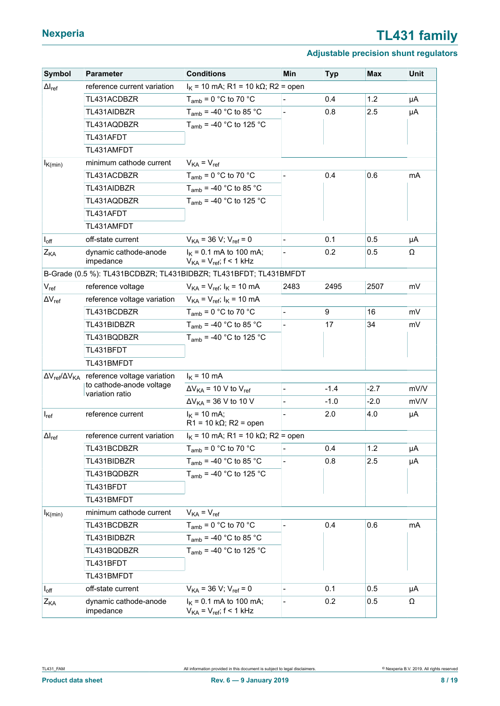| <b>Symbol</b>                          | <b>Parameter</b>                                                 | <b>Conditions</b>                                             | Min            | <b>Typ</b> | <b>Max</b> | <b>Unit</b> |  |
|----------------------------------------|------------------------------------------------------------------|---------------------------------------------------------------|----------------|------------|------------|-------------|--|
| $\Delta I_{ref}$                       | reference current variation                                      | $IK$ = 10 mA; R1 = 10 kΩ; R2 = open                           |                |            |            |             |  |
|                                        | TL431ACDBZR                                                      | $T_{amb}$ = 0 °C to 70 °C                                     |                | 0.4        | 1.2        | μA          |  |
|                                        | TL431AIDBZR                                                      | $T_{amb}$ = -40 °C to 85 °C                                   |                | 0.8        | 2.5        | μA          |  |
|                                        | TL431AQDBZR                                                      | $T_{amb}$ = -40 °C to 125 °C                                  |                |            |            |             |  |
|                                        | TL431AFDT                                                        |                                                               |                |            |            |             |  |
|                                        | TL431AMFDT                                                       |                                                               |                |            |            |             |  |
| $I_{K(min)}$                           | minimum cathode current                                          | $V_{KA} = V_{ref}$                                            |                |            |            |             |  |
|                                        | TL431ACDBZR                                                      | $T_{amb}$ = 0 °C to 70 °C                                     |                | 0.4        | 0.6        | mA          |  |
|                                        | TL431AIDBZR                                                      | $T_{amb}$ = -40 °C to 85 °C                                   |                |            |            |             |  |
|                                        | TL431AQDBZR                                                      | $T_{amb}$ = -40 °C to 125 °C                                  |                |            |            |             |  |
|                                        | TL431AFDT                                                        |                                                               |                |            |            |             |  |
|                                        | TL431AMFDT                                                       |                                                               |                |            |            |             |  |
| $I_{\text{off}}$                       | off-state current                                                | $V_{KA}$ = 36 V; $V_{ref}$ = 0                                | $\blacksquare$ | 0.1        | 0.5        | μA          |  |
| Z <sub>KA</sub>                        | dynamic cathode-anode<br>impedance                               | $I_{K}$ = 0.1 mA to 100 mA;<br>$V_{KA} = V_{ref}$ ; f < 1 kHz |                | 0.2        | 0.5        | Ω           |  |
|                                        | B-Grade (0.5 %): TL431BCDBZR; TL431BIDBZR; TL431BFDT; TL431BMFDT |                                                               |                |            |            |             |  |
| $V_{ref}$                              | reference voltage                                                | $V_{KA} = V_{ref}$ ; $I_{K} = 10$ mA                          | 2483           | 2495       | 2507       | mV          |  |
| $\Delta V_{ref}$                       | reference voltage variation                                      | $V_{KA} = V_{ref}$ ; $I_{K} = 10$ mA                          |                |            |            |             |  |
|                                        | TL431BCDBZR                                                      | $T_{amb}$ = 0 °C to 70 °C                                     |                | 9          | 16         | mV          |  |
|                                        | TL431BIDBZR                                                      | $T_{amb}$ = -40 °C to 85 °C                                   | $\overline{a}$ | 17         | 34         | mV          |  |
|                                        | TL431BQDBZR                                                      | $T_{amb}$ = -40 °C to 125 °C                                  |                |            |            |             |  |
|                                        | TL431BFDT                                                        |                                                               |                |            |            |             |  |
|                                        | TL431BMFDT                                                       |                                                               |                |            |            |             |  |
| $\Delta \rm V_{ref}/\Delta \rm V_{KA}$ | reference voltage variation                                      | $I_{K}$ = 10 mA                                               |                |            |            |             |  |
|                                        | to cathode-anode voltage<br>variation ratio                      | $\Delta V_{KA}$ = 10 V to $V_{ref}$                           |                | -1.4       | $-2.7$     | mV/V        |  |
|                                        |                                                                  | $\Delta V_{KA}$ = 36 V to 10 V                                |                | $-1.0$     | $-2.0$     | mV/V        |  |
| $I_{ref}$                              | reference current                                                | $I_K = 10$ mA;<br>$R1 = 10 k\Omega$ ; R2 = open               |                | 2.0        | 4.0        | μA          |  |
| $\Delta I_{ref}$                       | reference current variation                                      | $IK$ = 10 mA; R1 = 10 kΩ; R2 = open                           |                |            |            |             |  |
|                                        | TL431BCDBZR                                                      | $T_{amb}$ = 0 °C to 70 °C                                     |                | 0.4        | 1.2        | μA          |  |
|                                        | TL431BIDBZR                                                      | $T_{amb}$ = -40 °C to 85 °C                                   |                | 0.8        | 2.5        | μA          |  |
|                                        | TL431BQDBZR                                                      | $T_{amb}$ = -40 °C to 125 °C                                  |                |            |            |             |  |
|                                        | TL431BFDT                                                        |                                                               |                |            |            |             |  |
|                                        | TL431BMFDT                                                       |                                                               |                |            |            |             |  |
| $I_{K(min)}$                           | minimum cathode current                                          | $V_{KA} = V_{ref}$                                            |                |            |            |             |  |
|                                        | TL431BCDBZR                                                      | $T_{amb}$ = 0 °C to 70 °C                                     |                | 0.4        | 0.6        | mA          |  |
|                                        | TL431BIDBZR                                                      | $T_{amb}$ = -40 °C to 85 °C                                   |                |            |            |             |  |
|                                        | TL431BQDBZR                                                      | $T_{amb}$ = -40 °C to 125 °C                                  |                |            |            |             |  |
|                                        | TL431BFDT                                                        |                                                               |                |            |            |             |  |
|                                        | TL431BMFDT                                                       |                                                               |                |            |            |             |  |
| $I_{\text{off}}$                       | off-state current                                                | $V_{KA}$ = 36 V; $V_{ref}$ = 0                                |                | 0.1        | 0.5        | μA          |  |
| $Z_{\text{KA}}$                        | dynamic cathode-anode<br>impedance                               | $I_{K}$ = 0.1 mA to 100 mA;<br>$V_{KA} = V_{ref}$ ; f < 1 kHz |                | 0.2        | 0.5        | Ω           |  |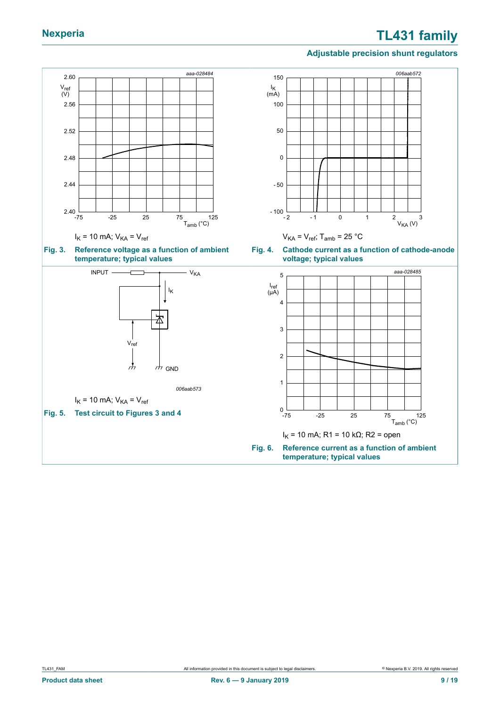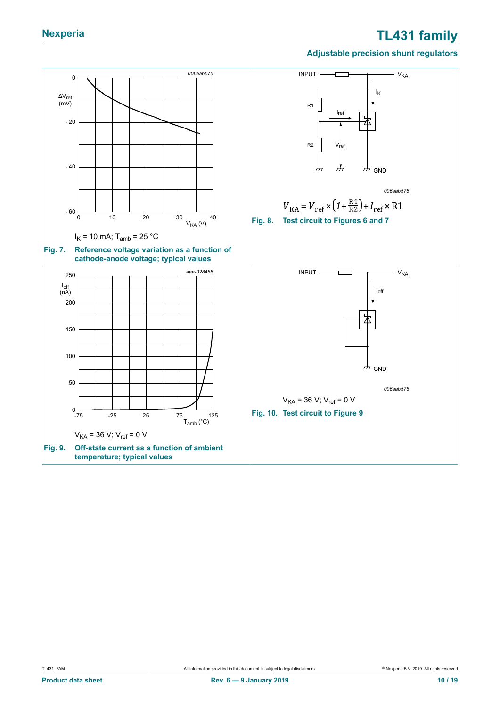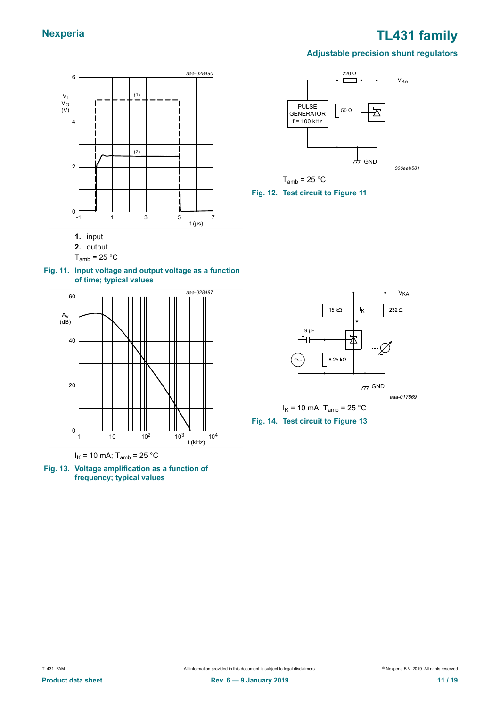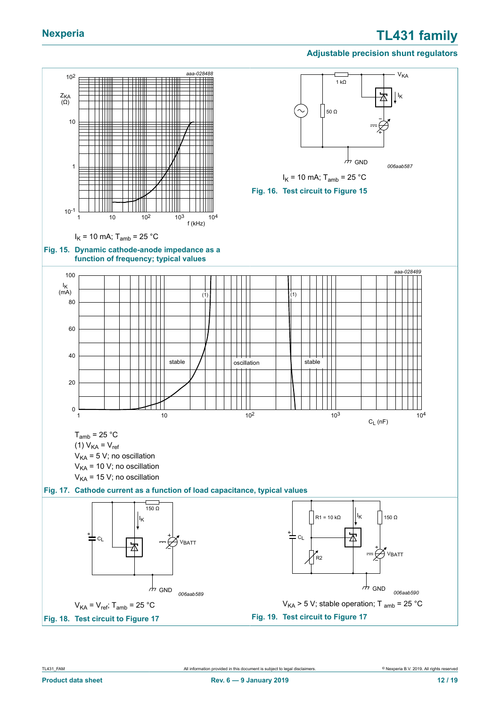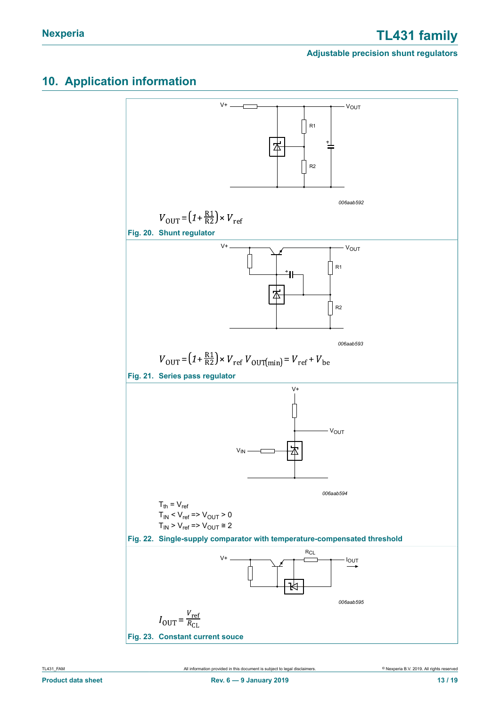# <span id="page-12-0"></span>**10. Application information**

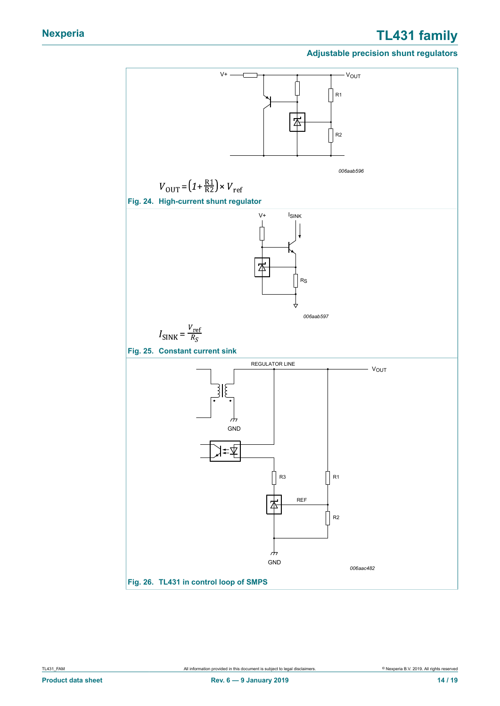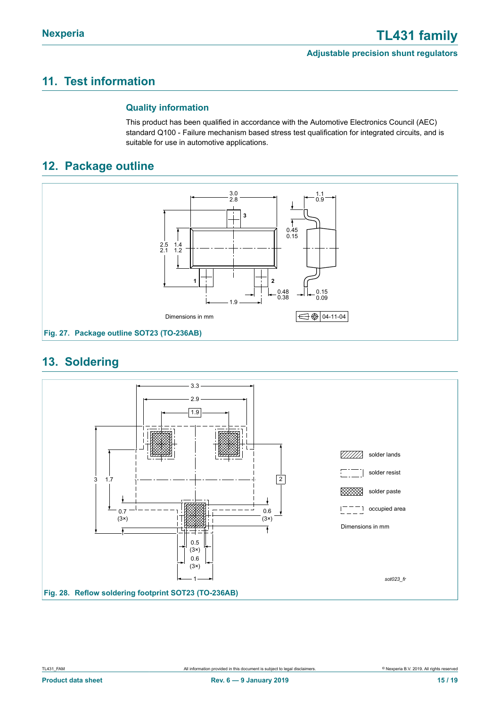### <span id="page-14-0"></span>**11. Test information**

#### **Quality information**

This product has been qualified in accordance with the Automotive Electronics Council (AEC) standard Q100 - Failure mechanism based stress test qualification for integrated circuits, and is suitable for use in automotive applications.

### <span id="page-14-1"></span>**12. Package outline**



### <span id="page-14-2"></span>**13. Soldering**

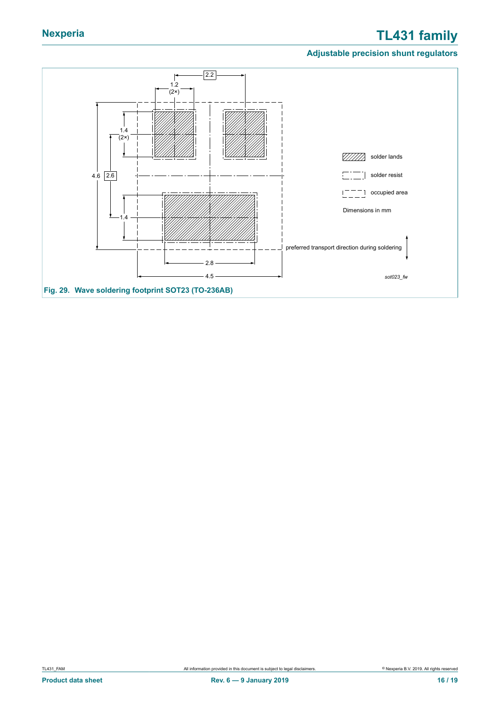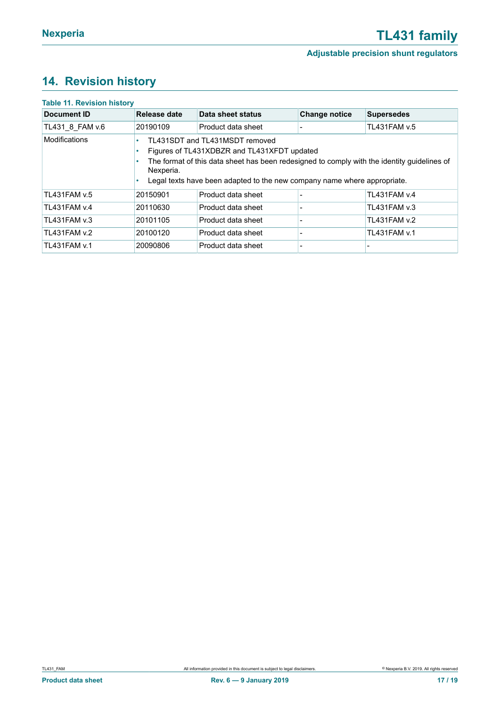# <span id="page-16-0"></span>**14. Revision history**

| <b>Table 11. Revision history</b> |                                                                                                                                                                                                                                                                                           |                    |                      |                     |  |  |
|-----------------------------------|-------------------------------------------------------------------------------------------------------------------------------------------------------------------------------------------------------------------------------------------------------------------------------------------|--------------------|----------------------|---------------------|--|--|
| Document ID                       | Release date                                                                                                                                                                                                                                                                              | Data sheet status  | <b>Change notice</b> | <b>Supersedes</b>   |  |  |
| TL431 8 FAM v.6                   | 20190109                                                                                                                                                                                                                                                                                  | Product data sheet |                      | TL431FAM v.5        |  |  |
| <b>Modifications</b>              | TL431SDT and TL431MSDT removed<br>٠<br>Figures of TL431XDBZR and TL431XFDT updated<br>٠<br>The format of this data sheet has been redesigned to comply with the identity guidelines of<br>٠<br>Nexperia.<br>Legal texts have been adapted to the new company name where appropriate.<br>٠ |                    |                      |                     |  |  |
| <b>TL431FAM v.5</b>               | 20150901                                                                                                                                                                                                                                                                                  | Product data sheet |                      | <b>TL431FAM v.4</b> |  |  |
| <b>TL431FAM v.4</b>               | 20110630                                                                                                                                                                                                                                                                                  | Product data sheet |                      | TL431FAM v.3        |  |  |
| <b>TL431FAM v.3</b>               | 20101105                                                                                                                                                                                                                                                                                  | Product data sheet |                      | <b>TL431FAM v.2</b> |  |  |
| TL431FAM v.2                      | 20100120                                                                                                                                                                                                                                                                                  | Product data sheet |                      | TL431FAM v.1        |  |  |
| <b>TL431FAM v.1</b>               | 20090806                                                                                                                                                                                                                                                                                  | Product data sheet |                      |                     |  |  |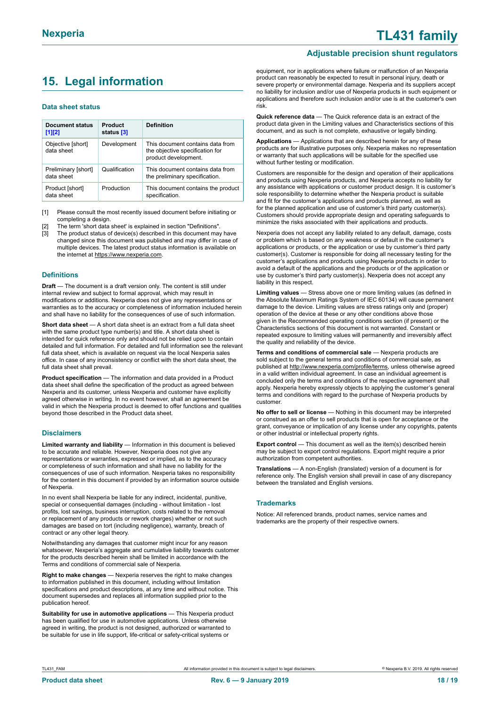# <span id="page-17-0"></span>**15. Legal information**

#### **Data sheet status**

| Document status<br>$[1]$ [2]      | Product<br>status [3] | <b>Definition</b>                                                                           |
|-----------------------------------|-----------------------|---------------------------------------------------------------------------------------------|
| Objective [short]<br>data sheet   | Development           | This document contains data from<br>the objective specification for<br>product development. |
| Preliminary [short]<br>data sheet | Qualification         | This document contains data from<br>the preliminary specification.                          |
| Product [short]<br>data sheet     | Production            | This document contains the product<br>specification.                                        |

[1] Please consult the most recently issued document before initiating or completing a design.

The term 'short data sheet' is explained in section "Definitions".

[3] The product status of device(s) described in this document may have changed since this document was published and may differ in case of multiple devices. The latest product status information is available on the internet at [https://www.nexperia.com.](https://www.nexperia.com)

#### **Definitions**

**Draft** — The document is a draft version only. The content is still under internal review and subject to formal approval, which may result in modifications or additions. Nexperia does not give any representations or warranties as to the accuracy or completeness of information included herein and shall have no liability for the consequences of use of such information.

**Short data sheet** — A short data sheet is an extract from a full data sheet with the same product type number(s) and title. A short data sheet is intended for quick reference only and should not be relied upon to contain detailed and full information. For detailed and full information see the relevant full data sheet, which is available on request via the local Nexperia sales office. In case of any inconsistency or conflict with the short data sheet, the full data sheet shall prevail.

**Product specification** — The information and data provided in a Product data sheet shall define the specification of the product as agreed between Nexperia and its customer, unless Nexperia and customer have explicitly agreed otherwise in writing. In no event however, shall an agreement be valid in which the Nexperia product is deemed to offer functions and qualities beyond those described in the Product data sheet.

#### **Disclaimers**

**Limited warranty and liability** — Information in this document is believed to be accurate and reliable. However, Nexperia does not give any representations or warranties, expressed or implied, as to the accuracy or completeness of such information and shall have no liability for the consequences of use of such information. Nexperia takes no responsibility for the content in this document if provided by an information source outside of Nexperia.

In no event shall Nexperia be liable for any indirect, incidental, punitive, special or consequential damages (including - without limitation - lost profits, lost savings, business interruption, costs related to the removal or replacement of any products or rework charges) whether or not such damages are based on tort (including negligence), warranty, breach of contract or any other legal theory.

Notwithstanding any damages that customer might incur for any reason whatsoever, Nexperia's aggregate and cumulative liability towards customer for the products described herein shall be limited in accordance with the Terms and conditions of commercial sale of Nexperia.

**Right to make changes** — Nexperia reserves the right to make changes to information published in this document, including without limitation specifications and product descriptions, at any time and without notice. This document supersedes and replaces all information supplied prior to the publication hereof.

**Suitability for use in automotive applications** — This Nexperia product has been qualified for use in automotive applications. Unless otherwise agreed in writing, the product is not designed, authorized or warranted to be suitable for use in life support, life-critical or safety-critical systems or

# **Nexperia TL431 family**

#### **Adjustable precision shunt regulators**

equipment, nor in applications where failure or malfunction of an Nexperia product can reasonably be expected to result in personal injury, death or severe property or environmental damage. Nexperia and its suppliers accept no liability for inclusion and/or use of Nexperia products in such equipment or applications and therefore such inclusion and/or use is at the customer's own risk.

**Quick reference data** — The Quick reference data is an extract of the product data given in the Limiting values and Characteristics sections of this document, and as such is not complete, exhaustive or legally binding.

**Applications** — Applications that are described herein for any of these products are for illustrative purposes only. Nexperia makes no representation or warranty that such applications will be suitable for the specified use without further testing or modification.

Customers are responsible for the design and operation of their applications and products using Nexperia products, and Nexperia accepts no liability for any assistance with applications or customer product design. It is customer's sole responsibility to determine whether the Nexperia product is suitable and fit for the customer's applications and products planned, as well as for the planned application and use of customer's third party customer(s). Customers should provide appropriate design and operating safeguards to minimize the risks associated with their applications and products.

Nexperia does not accept any liability related to any default, damage, costs or problem which is based on any weakness or default in the customer's applications or products, or the application or use by customer's third party customer(s). Customer is responsible for doing all necessary testing for the customer's applications and products using Nexperia products in order to avoid a default of the applications and the products or of the application or use by customer's third party customer(s). Nexperia does not accept any liability in this respect.

**Limiting values** — Stress above one or more limiting values (as defined in the Absolute Maximum Ratings System of IEC 60134) will cause permanent damage to the device. Limiting values are stress ratings only and (proper) operation of the device at these or any other conditions above those given in the Recommended operating conditions section (if present) or the Characteristics sections of this document is not warranted. Constant or repeated exposure to limiting values will permanently and irreversibly affect the quality and reliability of the device.

**Terms and conditions of commercial sale** — Nexperia products are sold subject to the general terms and conditions of commercial sale, as published at [http://www.nexperia.com/profile/terms,](http://www.nexperia.com/profile/terms) unless otherwise agreed in a valid written individual agreement. In case an individual agreement is concluded only the terms and conditions of the respective agreement shall apply. Nexperia hereby expressly objects to applying the customer's general terms and conditions with regard to the purchase of Nexperia products by customer.

**No offer to sell or license** — Nothing in this document may be interpreted or construed as an offer to sell products that is open for acceptance or the grant, conveyance or implication of any license under any copyrights, patents or other industrial or intellectual property rights.

**Export control** — This document as well as the item(s) described herein may be subject to export control regulations. Export might require a prior authorization from competent authorities.

**Translations** — A non-English (translated) version of a document is for reference only. The English version shall prevail in case of any discrepancy between the translated and English versions.

#### **Trademarks**

Notice: All referenced brands, product names, service names and trademarks are the property of their respective owners.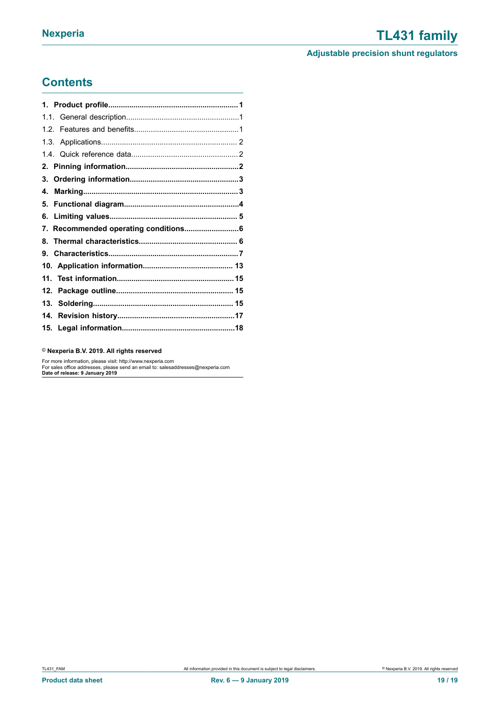### **Contents**

© **Nexperia B.V. 2019. All rights reserved**

For more information, please visit: http://www.nexperia.com For sales office addresses, please send an email to: salesaddresses@nexperia.com **Date of release: 9 January 2019**